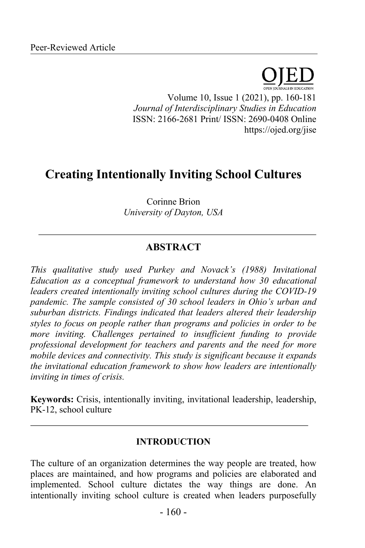Volume 10, Issue 1 (2021), pp. 160-181 *Journal of Interdisciplinary Studies in Education* ISSN: 2166-2681 Print/ ISSN: 2690-0408 Online https://ojed.org/jise

# **Creating Intentionally Inviting School Cultures**

Corinne Brion *University of Dayton, USA*

# **ABSTRACT**

*This qualitative study used Purkey and Novack's (1988) Invitational Education as a conceptual framework to understand how 30 educational leaders created intentionally inviting school cultures during the COVID-19 pandemic. The sample consisted of 30 school leaders in Ohio's urban and suburban districts. Findings indicated that leaders altered their leadership styles to focus on people rather than programs and policies in order to be more inviting. Challenges pertained to insufficient funding to provide professional development for teachers and parents and the need for more mobile devices and connectivity. This study is significant because it expands the invitational education framework to show how leaders are intentionally inviting in times of crisis.*

**Keywords:** Crisis, intentionally inviting, invitational leadership, leadership, PK-12, school culture

### **INTRODUCTION**

The culture of an organization determines the way people are treated, how places are maintained, and how programs and policies are elaborated and implemented. School culture dictates the way things are done. An intentionally inviting school culture is created when leaders purposefully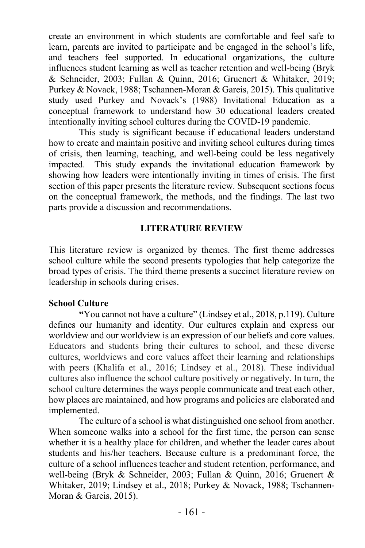create an environment in which students are comfortable and feel safe to learn, parents are invited to participate and be engaged in the school's life, and teachers feel supported. In educational organizations, the culture influences student learning as well as teacher retention and well-being (Bryk & Schneider, 2003; Fullan & Quinn, 2016; Gruenert & Whitaker, 2019; Purkey & Novack, 1988; Tschannen-Moran & Gareis, 2015). This qualitative study used Purkey and Novack's (1988) Invitational Education as a conceptual framework to understand how 30 educational leaders created intentionally inviting school cultures during the COVID-19 pandemic.

This study is significant because if educational leaders understand how to create and maintain positive and inviting school cultures during times of crisis, then learning, teaching, and well-being could be less negatively impacted. This study expands the invitational education framework by showing how leaders were intentionally inviting in times of crisis. The first section of this paper presents the literature review. Subsequent sections focus on the conceptual framework, the methods, and the findings. The last two parts provide a discussion and recommendations.

### **LITERATURE REVIEW**

This literature review is organized by themes. The first theme addresses school culture while the second presents typologies that help categorize the broad types of crisis. The third theme presents a succinct literature review on leadership in schools during crises.

### **School Culture**

**"**You cannot not have a culture" (Lindsey et al., 2018, p.119). Culture defines our humanity and identity. Our cultures explain and express our worldview and our worldview is an expression of our beliefs and core values. Educators and students bring their cultures to school, and these diverse cultures, worldviews and core values affect their learning and relationships with peers (Khalifa et al., 2016; Lindsey et al., 2018). These individual cultures also influence the school culture positively or negatively. In turn, the school culture determines the ways people communicate and treat each other, how places are maintained, and how programs and policies are elaborated and implemented.

The culture of a school is what distinguished one school from another. When someone walks into a school for the first time, the person can sense whether it is a healthy place for children, and whether the leader cares about students and his/her teachers. Because culture is a predominant force, the culture of a school influences teacher and student retention, performance, and well-being (Bryk & Schneider, 2003; Fullan & Quinn, 2016; Gruenert & Whitaker, 2019; Lindsey et al., 2018; Purkey & Novack, 1988; Tschannen-Moran & Gareis, 2015).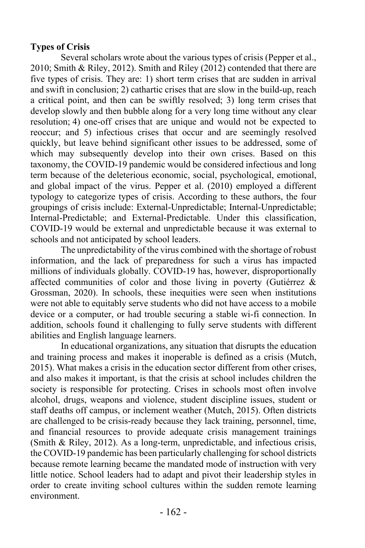# **Types of Crisis**

Several scholars wrote about the various types of crisis (Pepper et al., 2010; Smith & Riley, 2012). Smith and Riley (2012) contended that there are five types of crisis. They are: 1) short term crises that are sudden in arrival and swift in conclusion; 2) cathartic crises that are slow in the build-up, reach a critical point, and then can be swiftly resolved; 3) long term crises that develop slowly and then bubble along for a very long time without any clear resolution; 4) one-off crises that are unique and would not be expected to reoccur; and 5) infectious crises that occur and are seemingly resolved quickly, but leave behind significant other issues to be addressed, some of which may subsequently develop into their own crises. Based on this taxonomy, the COVID-19 pandemic would be considered infectious and long term because of the deleterious economic, social, psychological, emotional, and global impact of the virus. Pepper et al. (2010) employed a different typology to categorize types of crisis. According to these authors, the four groupings of crisis include: External-Unpredictable; Internal-Unpredictable; Internal-Predictable; and External-Predictable. Under this classification, COVID-19 would be external and unpredictable because it was external to schools and not anticipated by school leaders.

The unpredictability of the virus combined with the shortage of robust information, and the lack of preparedness for such a virus has impacted millions of individuals globally. COVID-19 has, however, disproportionally affected communities of color and those living in poverty (Gutiérrez & Grossman, 2020). In schools, these inequities were seen when institutions were not able to equitably serve students who did not have access to a mobile device or a computer, or had trouble securing a stable wi-fi connection. In addition, schools found it challenging to fully serve students with different abilities and English language learners.

In educational organizations, any situation that disrupts the education and training process and makes it inoperable is defined as a crisis (Mutch, 2015). What makes a crisis in the education sector different from other crises, and also makes it important, is that the crisis at school includes children the society is responsible for protecting. Crises in schools most often involve alcohol, drugs, weapons and violence, student discipline issues, student or staff deaths off campus, or inclement weather (Mutch, 2015). Often districts are challenged to be crisis-ready because they lack training, personnel, time, and financial resources to provide adequate crisis management trainings (Smith & Riley, 2012). As a long-term, unpredictable, and infectious crisis, the COVID-19 pandemic has been particularly challenging for school districts because remote learning became the mandated mode of instruction with very little notice. School leaders had to adapt and pivot their leadership styles in order to create inviting school cultures within the sudden remote learning environment.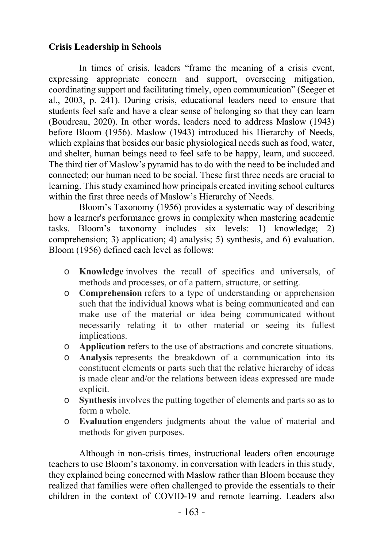# **Crisis Leadership in Schools**

In times of crisis, leaders "frame the meaning of a crisis event, expressing appropriate concern and support, overseeing mitigation, coordinating support and facilitating timely, open communication" (Seeger et al., 2003, p. 241). During crisis, educational leaders need to ensure that students feel safe and have a clear sense of belonging so that they can learn (Boudreau, 2020). In other words, leaders need to address Maslow (1943) before Bloom (1956). Maslow (1943) introduced his Hierarchy of Needs, which explains that besides our basic physiological needs such as food, water, and shelter, human beings need to feel safe to be happy, learn, and succeed. The third tier of Maslow's pyramid has to do with the need to be included and connected; our human need to be social. These first three needs are crucial to learning. This study examined how principals created inviting school cultures within the first three needs of Maslow's Hierarchy of Needs.

Bloom's Taxonomy (1956) provides a systematic way of describing how a learner's performance grows in complexity when mastering academic tasks. Bloom's taxonomy includes six levels: 1) knowledge; 2) comprehension; 3) application; 4) analysis; 5) synthesis, and 6) evaluation. Bloom (1956) defined each level as follows:

- o **Knowledge** involves the recall of specifics and universals, of methods and processes, or of a pattern, structure, or setting.
- o **Comprehension** refers to a type of understanding or apprehension such that the individual knows what is being communicated and can make use of the material or idea being communicated without necessarily relating it to other material or seeing its fullest implications.
- o **Application** refers to the use of abstractions and concrete situations.
- o **Analysis** represents the breakdown of a communication into its constituent elements or parts such that the relative hierarchy of ideas is made clear and/or the relations between ideas expressed are made explicit.
- o **Synthesis** involves the putting together of elements and parts so as to form a whole.
- o **Evaluation** engenders judgments about the value of material and methods for given purposes.

Although in non-crisis times, instructional leaders often encourage teachers to use Bloom's taxonomy, in conversation with leaders in this study, they explained being concerned with Maslow rather than Bloom because they realized that families were often challenged to provide the essentials to their children in the context of COVID-19 and remote learning. Leaders also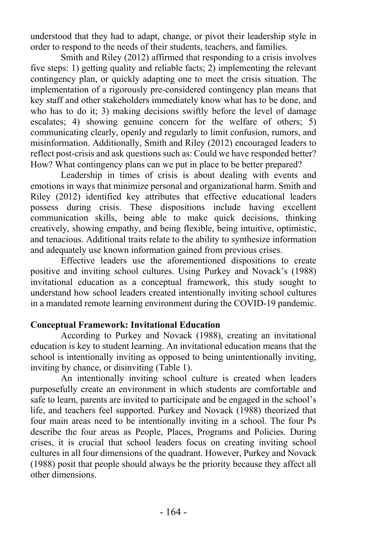understood that they had to adapt, change, or pivot their leadership style in order to respond to the needs of their students, teachers, and families.

Smith and Riley (2012) affirmed that responding to a crisis involves five steps: 1) getting quality and reliable facts; 2) implementing the relevant contingency plan, or quickly adapting one to meet the crisis situation. The implementation of a rigorously pre-considered contingency plan means that key staff and other stakeholders immediately know what has to be done, and who has to do it; 3) making decisions swiftly before the level of damage escalates; 4) showing genuine concern for the welfare of others; 5) communicating clearly, openly and regularly to limit confusion, rumors, and misinformation. Additionally, Smith and Riley (2012) encouraged leaders to reflect post-crisis and ask questions such as: Could we have responded better? How? What contingency plans can we put in place to be better prepared?

Leadership in times of crisis is about dealing with events and emotions in ways that minimize personal and organizational harm. Smith and Riley (2012) identified key attributes that effective educational leaders possess during crisis. These dispositions include having excellent communication skills, being able to make quick decisions, thinking creatively, showing empathy, and being flexible, being intuitive, optimistic, and tenacious. Additional traits relate to the ability to synthesize information and adequately use known information gained from previous crises.

Effective leaders use the aforementioned dispositions to create positive and inviting school cultures. Using Purkey and Novack's (1988) invitational education as a conceptual framework, this study sought to understand how school leaders created intentionally inviting school cultures in a mandated remote learning environment during the COVID-19 pandemic.

# **Conceptual Framework: Invitational Education**

According to Purkey and Novack (1988), creating an invitational education is key to student learning. An invitational education means that the school is intentionally inviting as opposed to being unintentionally inviting, inviting by chance, or disinviting (Table 1).

An intentionally inviting school culture is created when leaders purposefully create an environment in which students are comfortable and safe to learn, parents are invited to participate and be engaged in the school's life, and teachers feel supported. Purkey and Novack (1988) theorized that four main areas need to be intentionally inviting in a school. The four Ps describe the four areas as People, Places, Programs and Policies. During crises, it is crucial that school leaders focus on creating inviting school cultures in all four dimensions of the quadrant. However, Purkey and Novack (1988) posit that people should always be the priority because they affect all other dimensions.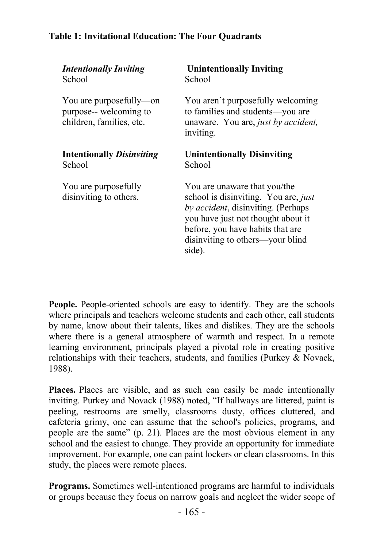# **Table 1: Invitational Education: The Four Quadrants**

| <b>Intentionally Inviting</b>                                                 | <b>Unintentionally Inviting</b>                                                                                                                                                                                                    |
|-------------------------------------------------------------------------------|------------------------------------------------------------------------------------------------------------------------------------------------------------------------------------------------------------------------------------|
| School                                                                        | School                                                                                                                                                                                                                             |
| You are purposefully—on<br>purpose-- welcoming to<br>children, families, etc. | You aren't purposefully welcoming<br>to families and students-you are<br>unaware. You are, just by accident,<br>inviting.                                                                                                          |
| <b>Intentionally Disinviting</b>                                              | <b>Unintentionally Disinviting</b>                                                                                                                                                                                                 |
| School                                                                        | School                                                                                                                                                                                                                             |
| You are purposefully<br>disinviting to others.                                | You are unaware that you/the<br>school is disinviting. You are, just<br>by accident, disinviting. (Perhaps<br>you have just not thought about it<br>before, you have habits that are<br>disinviting to others—your blind<br>side). |

People. People-oriented schools are easy to identify. They are the schools where principals and teachers welcome students and each other, call students by name, know about their talents, likes and dislikes. They are the schools where there is a general atmosphere of warmth and respect. In a remote learning environment, principals played a pivotal role in creating positive relationships with their teachers, students, and families (Purkey & Novack, 1988).

**Places.** Places are visible, and as such can easily be made intentionally inviting. Purkey and Novack (1988) noted, "If hallways are littered, paint is peeling, restrooms are smelly, classrooms dusty, offices cluttered, and cafeteria grimy, one can assume that the school's policies, programs, and people are the same" (p. 21). Places are the most obvious element in any school and the easiest to change. They provide an opportunity for immediate improvement. For example, one can paint lockers or clean classrooms. In this study, the places were remote places.

**Programs.** Sometimes well-intentioned programs are harmful to individuals or groups because they focus on narrow goals and neglect the wider scope of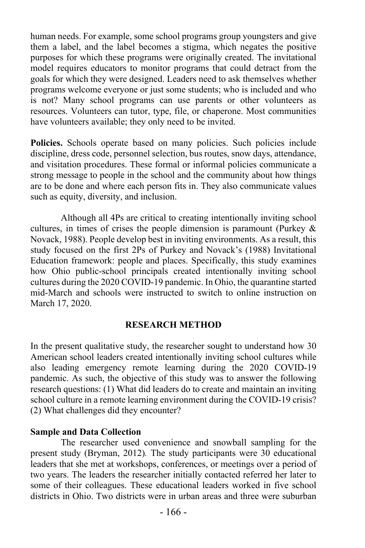human needs. For example, some school programs group youngsters and give them a label, and the label becomes a stigma, which negates the positive purposes for which these programs were originally created. The invitational model requires educators to monitor programs that could detract from the goals for which they were designed. Leaders need to ask themselves whether programs welcome everyone or just some students; who is included and who is not? Many school programs can use parents or other volunteers as resources. Volunteers can tutor, type, file, or chaperone. Most communities have volunteers available; they only need to be invited.

**Policies.** Schools operate based on many policies. Such policies include discipline, dress code, personnel selection, bus routes, snow days, attendance, and visitation procedures. These formal or informal policies communicate a strong message to people in the school and the community about how things are to be done and where each person fits in. They also communicate values such as equity, diversity, and inclusion.

Although all 4Ps are critical to creating intentionally inviting school cultures, in times of crises the people dimension is paramount (Purkey  $\&$ Novack, 1988). People develop best in inviting environments. As a result, this study focused on the first 2Ps of Purkey and Novack's (1988) Invitational Education framework: people and places. Specifically, this study examines how Ohio public-school principals created intentionally inviting school cultures during the 2020 COVID-19 pandemic. In Ohio, the quarantine started mid-March and schools were instructed to switch to online instruction on March 17, 2020.

#### **RESEARCH METHOD**

In the present qualitative study, the researcher sought to understand how 30 American school leaders created intentionally inviting school cultures while also leading emergency remote learning during the 2020 COVID-19 pandemic. As such, the objective of this study was to answer the following research questions: (1) What did leaders do to create and maintain an inviting school culture in a remote learning environment during the COVID-19 crisis? (2) What challenges did they encounter?

#### **Sample and Data Collection**

The researcher used convenience and snowball sampling for the present study (Bryman, 2012)*.* The study participants were 30 educational leaders that she met at workshops, conferences, or meetings over a period of two years. The leaders the researcher initially contacted referred her later to some of their colleagues. These educational leaders worked in five school districts in Ohio. Two districts were in urban areas and three were suburban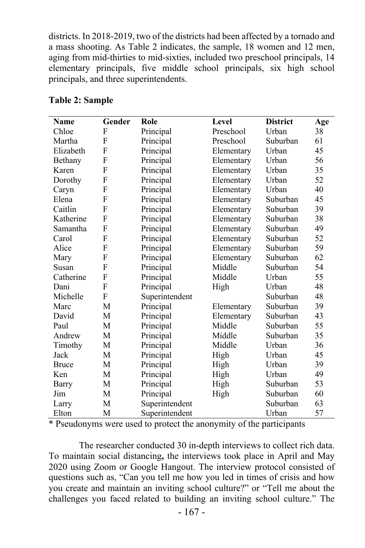districts. In 2018-2019, two of the districts had been affected by a tornado and a mass shooting. As Table 2 indicates, the sample, 18 women and 12 men, aging from mid-thirties to mid-sixties, included two preschool principals, 14 elementary principals, five middle school principals, six high school principals, and three superintendents.

| <b>Name</b>  | Gender         | Role           | Level      | <b>District</b> | Age |
|--------------|----------------|----------------|------------|-----------------|-----|
| Chloe        | F              | Principal      | Preschool  | Urban           | 38  |
| Martha       | F              | Principal      | Preschool  | Suburban        | 61  |
| Elizabeth    | F              | Principal      | Elementary | Urban           | 45  |
| Bethany      | F              | Principal      | Elementary | Urban           | 56  |
| Karen        | $\overline{F}$ | Principal      | Elementary | Urban           | 35  |
| Dorothy      | F              | Principal      | Elementary | Urban           | 52  |
| Caryn        | F              | Principal      | Elementary | Urban           | 40  |
| Elena        | F              | Principal      | Elementary | Suburban        | 45  |
| Caitlin      | F              | Principal      | Elementary | Suburban        | 39  |
| Katherine    | F              | Principal      | Elementary | Suburban        | 38  |
| Samantha     | F              | Principal      | Elementary | Suburban        | 49  |
| Carol        | F              | Principal      | Elementary | Suburban        | 52  |
| Alice        | F              | Principal      | Elementary | Suburban        | 59  |
| Mary         | F              | Principal      | Elementary | Suburban        | 62  |
| Susan        | F              | Principal      | Middle     | Suburban        | 54  |
| Catherine    | F              | Principal      | Middle     | Urban           | 55  |
| Dani         | F              | Principal      | High       | Urban           | 48  |
| Michelle     | F              | Superintendent |            | Suburban        | 48  |
| Marc         | M              | Principal      | Elementary | Suburban        | 39  |
| David        | M              | Principal      | Elementary | Suburban        | 43  |
| Paul         | M              | Principal      | Middle     | Suburban        | 55  |
| Andrew       | М              | Principal      | Middle     | Suburban        | 35  |
| Timothy      | M              | Principal      | Middle     | Urban           | 36  |
| Jack         | M              | Principal      | High       | Urban           | 45  |
| <b>Bruce</b> | M              | Principal      | High       | Urban           | 39  |
| Ken          | М              | Principal      | High       | Urban           | 49  |
| Barry        | М              | Principal      | High       | Suburban        | 53  |
| Jim          | М              | Principal      | High       | Suburban        | 60  |
| Larry        | М              | Superintendent |            | Suburban        | 63  |
| Elton        | M              | Superintendent |            | Urban           | 57  |

#### **Table 2: Sample**

\* Pseudonyms were used to protect the anonymity of the participants

The researcher conducted 30 in-depth interviews to collect rich data. To maintain social distancing**,** the interviews took place in April and May 2020 using Zoom or Google Hangout. The interview protocol consisted of questions such as, "Can you tell me how you led in times of crisis and how you create and maintain an inviting school culture?" or "Tell me about the challenges you faced related to building an inviting school culture." The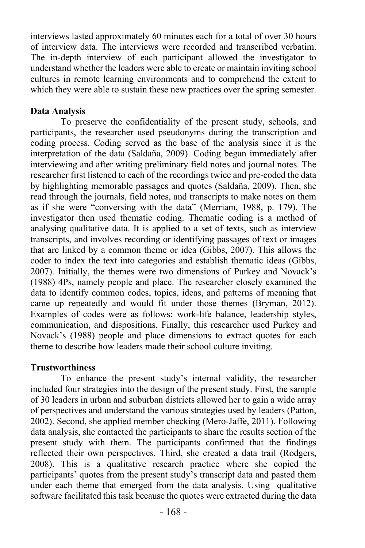interviews lasted approximately 60 minutes each for a total of over 30 hours of interview data. The interviews were recorded and transcribed verbatim. The in-depth interview of each participant allowed the investigator to understand whether the leaders were able to create or maintain inviting school cultures in remote learning environments and to comprehend the extent to which they were able to sustain these new practices over the spring semester.

### **Data Analysis**

To preserve the confidentiality of the present study, schools, and participants, the researcher used pseudonyms during the transcription and coding process. Coding served as the base of the analysis since it is the interpretation of the data (Saldaña, 2009). Coding began immediately after interviewing and after writing preliminary field notes and journal notes. The researcher first listened to each of the recordings twice and pre-coded the data by highlighting memorable passages and quotes (Saldaña, 2009). Then, she read through the journals, field notes, and transcripts to make notes on them as if she were "conversing with the data" (Merriam, 1988, p. 179). The investigator then used thematic coding. Thematic coding is a method of analysing qualitative data. It is applied to a set of texts, such as interview transcripts, and involves recording or identifying passages of text or images that are linked by a common theme or idea (Gibbs, 2007). This allows the coder to index the text into categories and establish thematic ideas (Gibbs, 2007). Initially, the themes were two dimensions of Purkey and Novack's (1988) 4Ps, namely people and place. The researcher closely examined the data to identify common codes, topics, ideas, and patterns of meaning that came up repeatedly and would fit under those themes (Bryman, 2012). Examples of codes were as follows: work-life balance, leadership styles, communication, and dispositions. Finally, this researcher used Purkey and Novack's (1988) people and place dimensions to extract quotes for each theme to describe how leaders made their school culture inviting.

### **Trustworthiness**

To enhance the present study's internal validity, the researcher included four strategies into the design of the present study. First, the sample of 30 leaders in urban and suburban districts allowed her to gain a wide array of perspectives and understand the various strategies used by leaders (Patton, 2002). Second, she applied member checking (Mero-Jaffe, 2011). Following data analysis, she contacted the participants to share the results section of the present study with them. The participants confirmed that the findings reflected their own perspectives. Third, she created a data trail (Rodgers, 2008). This is a qualitative research practice where she copied the participants' quotes from the present study's transcript data and pasted them under each theme that emerged from the data analysis. Using qualitative software facilitated this task because the quotes were extracted during the data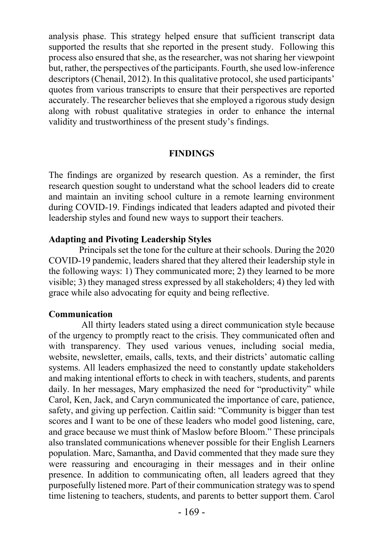analysis phase. This strategy helped ensure that sufficient transcript data supported the results that she reported in the present study. Following this process also ensured that she, as the researcher, was not sharing her viewpoint but, rather, the perspectives of the participants. Fourth, she used low-inference descriptors (Chenail, 2012). In this qualitative protocol, she used participants' quotes from various transcripts to ensure that their perspectives are reported accurately. The researcher believes that she employed a rigorous study design along with robust qualitative strategies in order to enhance the internal validity and trustworthiness of the present study's findings.

#### **FINDINGS**

The findings are organized by research question. As a reminder, the first research question sought to understand what the school leaders did to create and maintain an inviting school culture in a remote learning environment during COVID-19. Findings indicated that leaders adapted and pivoted their leadership styles and found new ways to support their teachers.

### **Adapting and Pivoting Leadership Styles**

Principals set the tone for the culture at their schools. During the 2020 COVID-19 pandemic, leaders shared that they altered their leadership style in the following ways: 1) They communicated more; 2) they learned to be more visible; 3) they managed stress expressed by all stakeholders; 4) they led with grace while also advocating for equity and being reflective.

# **Communication**

All thirty leaders stated using a direct communication style because of the urgency to promptly react to the crisis. They communicated often and with transparency. They used various venues, including social media, website, newsletter, emails, calls, texts, and their districts' automatic calling systems. All leaders emphasized the need to constantly update stakeholders and making intentional efforts to check in with teachers, students, and parents daily. In her messages, Mary emphasized the need for "productivity" while Carol, Ken, Jack, and Caryn communicated the importance of care, patience, safety, and giving up perfection. Caitlin said: "Community is bigger than test scores and I want to be one of these leaders who model good listening, care, and grace because we must think of Maslow before Bloom." These principals also translated communications whenever possible for their English Learners population. Marc, Samantha, and David commented that they made sure they were reassuring and encouraging in their messages and in their online presence. In addition to communicating often, all leaders agreed that they purposefully listened more. Part of their communication strategy was to spend time listening to teachers, students, and parents to better support them. Carol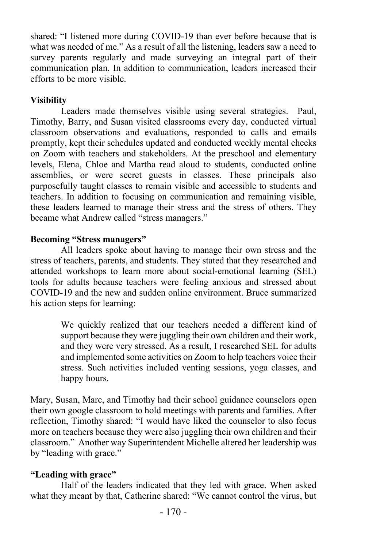shared: "I listened more during COVID-19 than ever before because that is what was needed of me." As a result of all the listening, leaders saw a need to survey parents regularly and made surveying an integral part of their communication plan. In addition to communication, leaders increased their efforts to be more visible.

# **Visibility**

Leaders made themselves visible using several strategies. Paul, Timothy, Barry, and Susan visited classrooms every day, conducted virtual classroom observations and evaluations, responded to calls and emails promptly, kept their schedules updated and conducted weekly mental checks on Zoom with teachers and stakeholders. At the preschool and elementary levels, Elena, Chloe and Martha read aloud to students, conducted online assemblies, or were secret guests in classes. These principals also purposefully taught classes to remain visible and accessible to students and teachers. In addition to focusing on communication and remaining visible, these leaders learned to manage their stress and the stress of others. They became what Andrew called "stress managers."

# **Becoming "Stress managers"**

All leaders spoke about having to manage their own stress and the stress of teachers, parents, and students. They stated that they researched and attended workshops to learn more about social-emotional learning (SEL) tools for adults because teachers were feeling anxious and stressed about COVID-19 and the new and sudden online environment. Bruce summarized his action steps for learning:

> We quickly realized that our teachers needed a different kind of support because they were juggling their own children and their work, and they were very stressed. As a result, I researched SEL for adults and implemented some activities on Zoom to help teachers voice their stress. Such activities included venting sessions, yoga classes, and happy hours.

Mary, Susan, Marc, and Timothy had their school guidance counselors open their own google classroom to hold meetings with parents and families. After reflection, Timothy shared: "I would have liked the counselor to also focus more on teachers because they were also juggling their own children and their classroom." Another way Superintendent Michelle altered her leadership was by "leading with grace."

# **"Leading with grace"**

Half of the leaders indicated that they led with grace. When asked what they meant by that, Catherine shared: "We cannot control the virus, but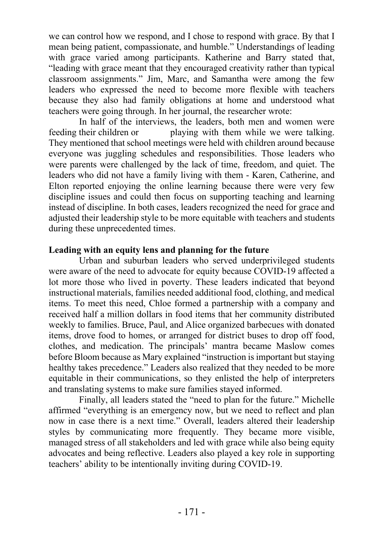we can control how we respond, and I chose to respond with grace. By that I mean being patient, compassionate, and humble." Understandings of leading with grace varied among participants. Katherine and Barry stated that, "leading with grace meant that they encouraged creativity rather than typical classroom assignments." Jim, Marc, and Samantha were among the few leaders who expressed the need to become more flexible with teachers because they also had family obligations at home and understood what teachers were going through. In her journal, the researcher wrote:

In half of the interviews, the leaders, both men and women were feeding their children or playing with them while we were talking. They mentioned that school meetings were held with children around because everyone was juggling schedules and responsibilities. Those leaders who were parents were challenged by the lack of time, freedom, and quiet. The leaders who did not have a family living with them - Karen, Catherine, and Elton reported enjoying the online learning because there were very few discipline issues and could then focus on supporting teaching and learning instead of discipline. In both cases, leaders recognized the need for grace and adjusted their leadership style to be more equitable with teachers and students during these unprecedented times.

### **Leading with an equity lens and planning for the future**

Urban and suburban leaders who served underprivileged students were aware of the need to advocate for equity because COVID-19 affected a lot more those who lived in poverty. These leaders indicated that beyond instructional materials, families needed additional food, clothing, and medical items. To meet this need, Chloe formed a partnership with a company and received half a million dollars in food items that her community distributed weekly to families. Bruce, Paul, and Alice organized barbecues with donated items, drove food to homes, or arranged for district buses to drop off food, clothes, and medication. The principals' mantra became Maslow comes before Bloom because as Mary explained "instruction is important but staying healthy takes precedence." Leaders also realized that they needed to be more equitable in their communications, so they enlisted the help of interpreters and translating systems to make sure families stayed informed.

Finally, all leaders stated the "need to plan for the future." Michelle affirmed "everything is an emergency now, but we need to reflect and plan now in case there is a next time." Overall, leaders altered their leadership styles by communicating more frequently. They became more visible, managed stress of all stakeholders and led with grace while also being equity advocates and being reflective. Leaders also played a key role in supporting teachers' ability to be intentionally inviting during COVID-19.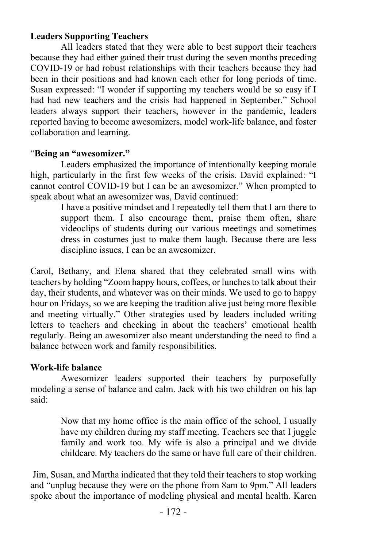# **Leaders Supporting Teachers**

All leaders stated that they were able to best support their teachers because they had either gained their trust during the seven months preceding COVID-19 or had robust relationships with their teachers because they had been in their positions and had known each other for long periods of time. Susan expressed: "I wonder if supporting my teachers would be so easy if I had had new teachers and the crisis had happened in September." School leaders always support their teachers, however in the pandemic, leaders reported having to become awesomizers, model work-life balance, and foster collaboration and learning.

# "**Being an "awesomizer."**

Leaders emphasized the importance of intentionally keeping morale high, particularly in the first few weeks of the crisis. David explained: "I cannot control COVID-19 but I can be an awesomizer." When prompted to speak about what an awesomizer was, David continued:

I have a positive mindset and I repeatedly tell them that I am there to support them. I also encourage them, praise them often, share videoclips of students during our various meetings and sometimes dress in costumes just to make them laugh. Because there are less discipline issues, I can be an awesomizer.

Carol, Bethany, and Elena shared that they celebrated small wins with teachers by holding "Zoom happy hours, coffees, or lunches to talk about their day, their students, and whatever was on their minds. We used to go to happy hour on Fridays, so we are keeping the tradition alive just being more flexible and meeting virtually." Other strategies used by leaders included writing letters to teachers and checking in about the teachers' emotional health regularly. Being an awesomizer also meant understanding the need to find a balance between work and family responsibilities.

# **Work-life balance**

Awesomizer leaders supported their teachers by purposefully modeling a sense of balance and calm. Jack with his two children on his lap said:

> Now that my home office is the main office of the school, I usually have my children during my staff meeting. Teachers see that I juggle family and work too. My wife is also a principal and we divide childcare. My teachers do the same or have full care of their children.

Jim, Susan, and Martha indicated that they told their teachers to stop working and "unplug because they were on the phone from 8am to 9pm." All leaders spoke about the importance of modeling physical and mental health. Karen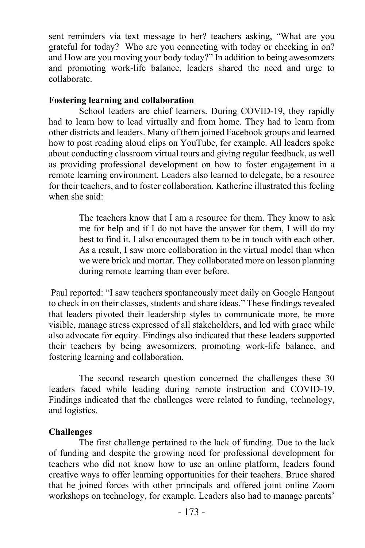sent reminders via text message to her? teachers asking, "What are you grateful for today? Who are you connecting with today or checking in on? and How are you moving your body today?" In addition to being awesomzers and promoting work-life balance, leaders shared the need and urge to collaborate.

### **Fostering learning and collaboration**

School leaders are chief learners. During COVID-19, they rapidly had to learn how to lead virtually and from home. They had to learn from other districts and leaders. Many of them joined Facebook groups and learned how to post reading aloud clips on YouTube, for example. All leaders spoke about conducting classroom virtual tours and giving regular feedback, as well as providing professional development on how to foster engagement in a remote learning environment. Leaders also learned to delegate, be a resource for their teachers, and to foster collaboration. Katherine illustrated this feeling when she said:

> The teachers know that I am a resource for them. They know to ask me for help and if I do not have the answer for them, I will do my best to find it. I also encouraged them to be in touch with each other. As a result, I saw more collaboration in the virtual model than when we were brick and mortar. They collaborated more on lesson planning during remote learning than ever before.

Paul reported: "I saw teachers spontaneously meet daily on Google Hangout to check in on their classes, students and share ideas." These findings revealed that leaders pivoted their leadership styles to communicate more, be more visible, manage stress expressed of all stakeholders, and led with grace while also advocate for equity. Findings also indicated that these leaders supported their teachers by being awesomizers, promoting work-life balance, and fostering learning and collaboration.

The second research question concerned the challenges these 30 leaders faced while leading during remote instruction and COVID-19. Findings indicated that the challenges were related to funding, technology, and logistics.

# **Challenges**

The first challenge pertained to the lack of funding. Due to the lack of funding and despite the growing need for professional development for teachers who did not know how to use an online platform, leaders found creative ways to offer learning opportunities for their teachers. Bruce shared that he joined forces with other principals and offered joint online Zoom workshops on technology, for example. Leaders also had to manage parents'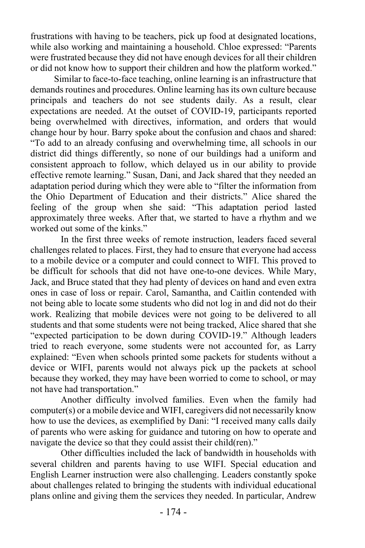frustrations with having to be teachers, pick up food at designated locations, while also working and maintaining a household. Chloe expressed: "Parents were frustrated because they did not have enough devices for all their children or did not know how to support their children and how the platform worked."

Similar to face-to-face teaching, online learning is an infrastructure that demands routines and procedures. Online learning has its own culture because principals and teachers do not see students daily. As a result, clear expectations are needed. At the outset of COVID-19, participants reported being overwhelmed with directives, information, and orders that would change hour by hour. Barry spoke about the confusion and chaos and shared: "To add to an already confusing and overwhelming time, all schools in our district did things differently, so none of our buildings had a uniform and consistent approach to follow, which delayed us in our ability to provide effective remote learning." Susan, Dani, and Jack shared that they needed an adaptation period during which they were able to "filter the information from the Ohio Department of Education and their districts." Alice shared the feeling of the group when she said: "This adaptation period lasted approximately three weeks. After that, we started to have a rhythm and we worked out some of the kinks."

In the first three weeks of remote instruction, leaders faced several challenges related to places. First, they had to ensure that everyone had access to a mobile device or a computer and could connect to WIFI. This proved to be difficult for schools that did not have one-to-one devices. While Mary, Jack, and Bruce stated that they had plenty of devices on hand and even extra ones in case of loss or repair. Carol, Samantha, and Caitlin contended with not being able to locate some students who did not log in and did not do their work. Realizing that mobile devices were not going to be delivered to all students and that some students were not being tracked, Alice shared that she "expected participation to be down during COVID-19." Although leaders tried to reach everyone, some students were not accounted for, as Larry explained: "Even when schools printed some packets for students without a device or WIFI, parents would not always pick up the packets at school because they worked, they may have been worried to come to school, or may not have had transportation."

Another difficulty involved families. Even when the family had computer(s) or a mobile device and WIFI, caregivers did not necessarily know how to use the devices, as exemplified by Dani: "I received many calls daily of parents who were asking for guidance and tutoring on how to operate and navigate the device so that they could assist their child(ren)."

Other difficulties included the lack of bandwidth in households with several children and parents having to use WIFI. Special education and English Learner instruction were also challenging. Leaders constantly spoke about challenges related to bringing the students with individual educational plans online and giving them the services they needed. In particular, Andrew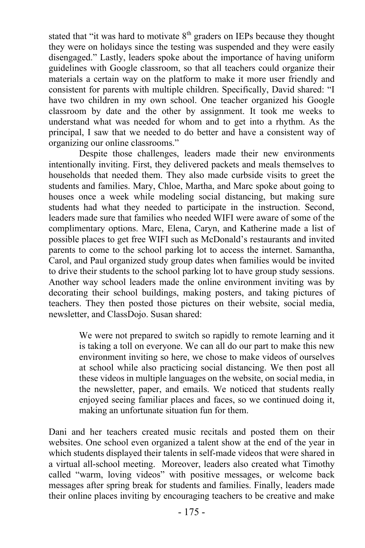stated that "it was hard to motivate  $8<sup>th</sup>$  graders on IEPs because they thought they were on holidays since the testing was suspended and they were easily disengaged." Lastly, leaders spoke about the importance of having uniform guidelines with Google classroom, so that all teachers could organize their materials a certain way on the platform to make it more user friendly and consistent for parents with multiple children. Specifically, David shared: "I have two children in my own school. One teacher organized his Google classroom by date and the other by assignment. It took me weeks to understand what was needed for whom and to get into a rhythm. As the principal, I saw that we needed to do better and have a consistent way of organizing our online classrooms."

Despite those challenges, leaders made their new environments intentionally inviting. First, they delivered packets and meals themselves to households that needed them. They also made curbside visits to greet the students and families. Mary, Chloe, Martha, and Marc spoke about going to houses once a week while modeling social distancing, but making sure students had what they needed to participate in the instruction. Second, leaders made sure that families who needed WIFI were aware of some of the complimentary options. Marc, Elena, Caryn, and Katherine made a list of possible places to get free WIFI such as McDonald's restaurants and invited parents to come to the school parking lot to access the internet. Samantha, Carol, and Paul organized study group dates when families would be invited to drive their students to the school parking lot to have group study sessions. Another way school leaders made the online environment inviting was by decorating their school buildings, making posters, and taking pictures of teachers. They then posted those pictures on their website, social media, newsletter, and ClassDojo. Susan shared:

> We were not prepared to switch so rapidly to remote learning and it is taking a toll on everyone. We can all do our part to make this new environment inviting so here, we chose to make videos of ourselves at school while also practicing social distancing. We then post all these videos in multiple languages on the website, on social media, in the newsletter, paper, and emails. We noticed that students really enjoyed seeing familiar places and faces, so we continued doing it, making an unfortunate situation fun for them.

Dani and her teachers created music recitals and posted them on their websites. One school even organized a talent show at the end of the year in which students displayed their talents in self-made videos that were shared in a virtual all-school meeting. Moreover, leaders also created what Timothy called "warm, loving videos" with positive messages, or welcome back messages after spring break for students and families. Finally, leaders made their online places inviting by encouraging teachers to be creative and make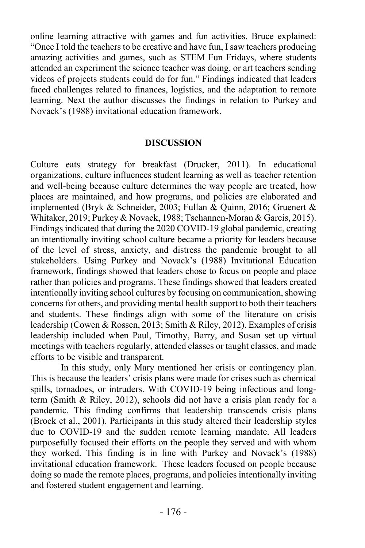online learning attractive with games and fun activities. Bruce explained: "Once I told the teachers to be creative and have fun, I saw teachers producing amazing activities and games, such as STEM Fun Fridays, where students attended an experiment the science teacher was doing, or art teachers sending videos of projects students could do for fun." Findings indicated that leaders faced challenges related to finances, logistics, and the adaptation to remote learning. Next the author discusses the findings in relation to Purkey and Novack's (1988) invitational education framework.

#### **DISCUSSION**

Culture eats strategy for breakfast (Drucker, 2011). In educational organizations, culture influences student learning as well as teacher retention and well-being because culture determines the way people are treated, how places are maintained, and how programs, and policies are elaborated and implemented (Bryk & Schneider, 2003; Fullan & Quinn, 2016; Gruenert & Whitaker, 2019; Purkey & Novack, 1988; Tschannen-Moran & Gareis, 2015). Findings indicated that during the 2020 COVID-19 global pandemic, creating an intentionally inviting school culture became a priority for leaders because of the level of stress, anxiety, and distress the pandemic brought to all stakeholders. Using Purkey and Novack's (1988) Invitational Education framework, findings showed that leaders chose to focus on people and place rather than policies and programs. These findings showed that leaders created intentionally inviting school cultures by focusing on communication, showing concerns for others, and providing mental health support to both their teachers and students. These findings align with some of the literature on crisis leadership (Cowen & Rossen, 2013; Smith & Riley, 2012). Examples of crisis leadership included when Paul, Timothy, Barry, and Susan set up virtual meetings with teachers regularly, attended classes or taught classes, and made efforts to be visible and transparent.

In this study, only Mary mentioned her crisis or contingency plan. This is because the leaders' crisis plans were made for crises such as chemical spills, tornadoes, or intruders. With COVID-19 being infectious and longterm (Smith & Riley, 2012), schools did not have a crisis plan ready for a pandemic. This finding confirms that leadership transcends crisis plans (Brock et al., 2001). Participants in this study altered their leadership styles due to COVID-19 and the sudden remote learning mandate. All leaders purposefully focused their efforts on the people they served and with whom they worked. This finding is in line with Purkey and Novack's (1988) invitational education framework. These leaders focused on people because doing so made the remote places, programs, and policies intentionally inviting and fostered student engagement and learning.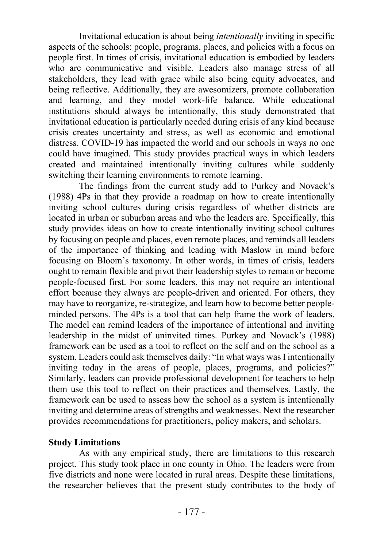Invitational education is about being *intentionally* inviting in specific aspects of the schools: people, programs, places, and policies with a focus on people first. In times of crisis, invitational education is embodied by leaders who are communicative and visible. Leaders also manage stress of all stakeholders, they lead with grace while also being equity advocates, and being reflective. Additionally, they are awesomizers, promote collaboration and learning, and they model work-life balance. While educational institutions should always be intentionally, this study demonstrated that invitational education is particularly needed during crisis of any kind because crisis creates uncertainty and stress, as well as economic and emotional distress. COVID-19 has impacted the world and our schools in ways no one could have imagined. This study provides practical ways in which leaders created and maintained intentionally inviting cultures while suddenly switching their learning environments to remote learning.

The findings from the current study add to Purkey and Novack's (1988) 4Ps in that they provide a roadmap on how to create intentionally inviting school cultures during crisis regardless of whether districts are located in urban or suburban areas and who the leaders are. Specifically, this study provides ideas on how to create intentionally inviting school cultures by focusing on people and places, even remote places, and reminds all leaders of the importance of thinking and leading with Maslow in mind before focusing on Bloom's taxonomy. In other words, in times of crisis, leaders ought to remain flexible and pivot their leadership styles to remain or become people-focused first. For some leaders, this may not require an intentional effort because they always are people-driven and oriented. For others, they may have to reorganize, re-strategize, and learn how to become better peopleminded persons. The 4Ps is a tool that can help frame the work of leaders. The model can remind leaders of the importance of intentional and inviting leadership in the midst of uninvited times. Purkey and Novack's (1988) framework can be used as a tool to reflect on the self and on the school as a system. Leaders could ask themselves daily: "In what ways was I intentionally inviting today in the areas of people, places, programs, and policies?" Similarly, leaders can provide professional development for teachers to help them use this tool to reflect on their practices and themselves. Lastly, the framework can be used to assess how the school as a system is intentionally inviting and determine areas of strengths and weaknesses. Next the researcher provides recommendations for practitioners, policy makers, and scholars.

### **Study Limitations**

As with any empirical study, there are limitations to this research project. This study took place in one county in Ohio. The leaders were from five districts and none were located in rural areas. Despite these limitations, the researcher believes that the present study contributes to the body of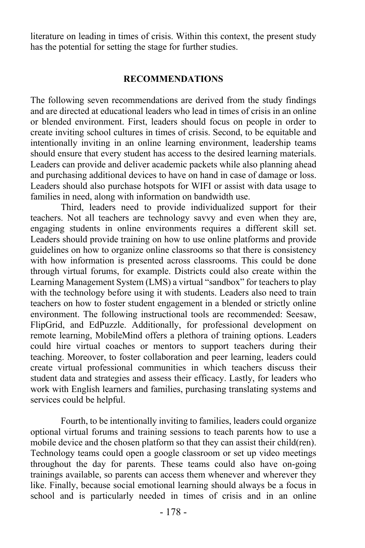literature on leading in times of crisis. Within this context, the present study has the potential for setting the stage for further studies.

### **RECOMMENDATIONS**

The following seven recommendations are derived from the study findings and are directed at educational leaders who lead in times of crisis in an online or blended environment. First, leaders should focus on people in order to create inviting school cultures in times of crisis. Second, to be equitable and intentionally inviting in an online learning environment, leadership teams should ensure that every student has access to the desired learning materials. Leaders can provide and deliver academic packets while also planning ahead and purchasing additional devices to have on hand in case of damage or loss. Leaders should also purchase hotspots for WIFI or assist with data usage to families in need, along with information on bandwidth use.

Third, leaders need to provide individualized support for their teachers. Not all teachers are technology savvy and even when they are, engaging students in online environments requires a different skill set. Leaders should provide training on how to use online platforms and provide guidelines on how to organize online classrooms so that there is consistency with how information is presented across classrooms. This could be done through virtual forums, for example. Districts could also create within the Learning Management System (LMS) a virtual "sandbox" for teachers to play with the technology before using it with students. Leaders also need to train teachers on how to foster student engagement in a blended or strictly online environment. The following instructional tools are recommended: Seesaw, FlipGrid, and EdPuzzle. Additionally, for professional development on remote learning, MobileMind offers a plethora of training options. Leaders could hire virtual coaches or mentors to support teachers during their teaching. Moreover, to foster collaboration and peer learning, leaders could create virtual professional communities in which teachers discuss their student data and strategies and assess their efficacy. Lastly, for leaders who work with English learners and families, purchasing translating systems and services could be helpful.

Fourth, to be intentionally inviting to families, leaders could organize optional virtual forums and training sessions to teach parents how to use a mobile device and the chosen platform so that they can assist their child(ren). Technology teams could open a google classroom or set up video meetings throughout the day for parents. These teams could also have on-going trainings available, so parents can access them whenever and wherever they like. Finally, because social emotional learning should always be a focus in school and is particularly needed in times of crisis and in an online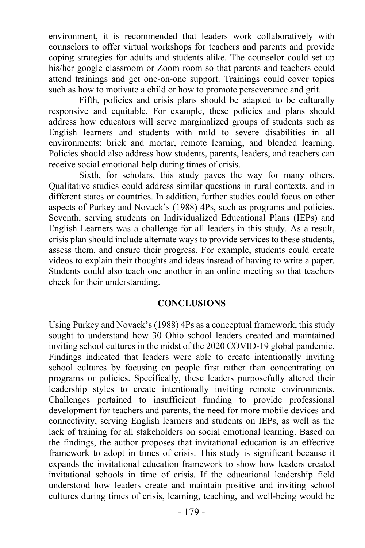environment, it is recommended that leaders work collaboratively with counselors to offer virtual workshops for teachers and parents and provide coping strategies for adults and students alike. The counselor could set up his/her google classroom or Zoom room so that parents and teachers could attend trainings and get one-on-one support. Trainings could cover topics such as how to motivate a child or how to promote perseverance and grit.

Fifth, policies and crisis plans should be adapted to be culturally responsive and equitable. For example, these policies and plans should address how educators will serve marginalized groups of students such as English learners and students with mild to severe disabilities in all environments: brick and mortar, remote learning, and blended learning. Policies should also address how students, parents, leaders, and teachers can receive social emotional help during times of crisis.

Sixth, for scholars, this study paves the way for many others. Qualitative studies could address similar questions in rural contexts, and in different states or countries. In addition, further studies could focus on other aspects of Purkey and Novack's (1988) 4Ps, such as programs and policies. Seventh, serving students on Individualized Educational Plans (IEPs) and English Learners was a challenge for all leaders in this study. As a result, crisis plan should include alternate ways to provide services to these students, assess them, and ensure their progress. For example, students could create videos to explain their thoughts and ideas instead of having to write a paper. Students could also teach one another in an online meeting so that teachers check for their understanding.

#### **CONCLUSIONS**

Using Purkey and Novack's (1988) 4Ps as a conceptual framework, this study sought to understand how 30 Ohio school leaders created and maintained inviting school cultures in the midst of the 2020 COVID-19 global pandemic. Findings indicated that leaders were able to create intentionally inviting school cultures by focusing on people first rather than concentrating on programs or policies. Specifically, these leaders purposefully altered their leadership styles to create intentionally inviting remote environments. Challenges pertained to insufficient funding to provide professional development for teachers and parents, the need for more mobile devices and connectivity, serving English learners and students on IEPs, as well as the lack of training for all stakeholders on social emotional learning. Based on the findings, the author proposes that invitational education is an effective framework to adopt in times of crisis. This study is significant because it expands the invitational education framework to show how leaders created invitational schools in time of crisis. If the educational leadership field understood how leaders create and maintain positive and inviting school cultures during times of crisis, learning, teaching, and well-being would be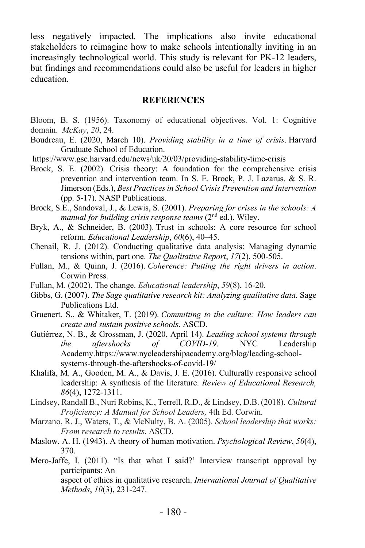less negatively impacted. The implications also invite educational stakeholders to reimagine how to make schools intentionally inviting in an increasingly technological world. This study is relevant for PK-12 leaders, but findings and recommendations could also be useful for leaders in higher education.

#### **REFERENCES**

- Bloom, B. S. (1956). Taxonomy of educational objectives. Vol. 1: Cognitive domain. *McKay*, *20*, 24.
- Boudreau, E. (2020, March 10). *Providing stability in a time of crisis*. Harvard Graduate School of Education.
- https://www.gse.harvard.edu/news/uk/20/03/providing-stability-time-crisis
- Brock, S. E. (2002). Crisis theory: A foundation for the comprehensive crisis prevention and intervention team. In S. E. Brock, P. J. Lazarus, & S. R. Jimerson (Eds.), *Best Practices in School Crisis Prevention and Intervention* (pp. 5-17). NASP Publications.
- Brock, S.E., Sandoval, J., & Lewis, S. (2001). *Preparing for crises in the schools: A manual for building crisis response teams* (2nd ed.). Wiley.
- Bryk, A., & Schneider, B. (2003). Trust in schools: A core resource for school reform. *Educational Leadership*, *60*(6), 40–45.
- Chenail, R. J. (2012). Conducting qualitative data analysis: Managing dynamic tensions within, part one. *The Qualitative Report*, *17*(2), 500-505.
- Fullan, M., & Quinn, J. (2016). *Coherence: Putting the right drivers in action*. Corwin Press.
- Fullan, M. (2002). The change. *Educational leadership*, *59*(8), 16-20.
- Gibbs, G. (2007). *The Sage qualitative research kit: Analyzing qualitative data.* Sage Publications Ltd.
- Gruenert, S., & Whitaker, T. (2019). *Committing to the culture: How leaders can create and sustain positive schools*. ASCD.
- Gutiérrez, N. B., & Grossman, J. (2020, April 14). *Leading school systems through the aftershocks of COVID-19*. NYC Leadership Academy.https://www.nycleadershipacademy.org/blog/leading-schoolsystems-through-the-aftershocks-of-covid-19/
- Khalifa, M. A., Gooden, M. A., & Davis, J. E. (2016). Culturally responsive school leadership: A synthesis of the literature. *Review of Educational Research, 86*(4), 1272-1311.
- Lindsey, Randall B., Nuri Robins, K., Terrell, R.D., & Lindsey, D.B. (2018). *Cultural Proficiency: A Manual for School Leaders,* 4th Ed. Corwin.
- Marzano, R. J., Waters, T., & McNulty, B. A. (2005). *School leadership that works: From research to results*. ASCD.
- Maslow, A. H. (1943). A theory of human motivation. *Psychological Review*, *50*(4), 370.
- Mero-Jaffe, I. (2011). "Is that what I said?' Interview transcript approval by participants: An aspect of ethics in qualitative research. *International Journal of Qualitative*

*Methods*, *10*(3), 231-247.